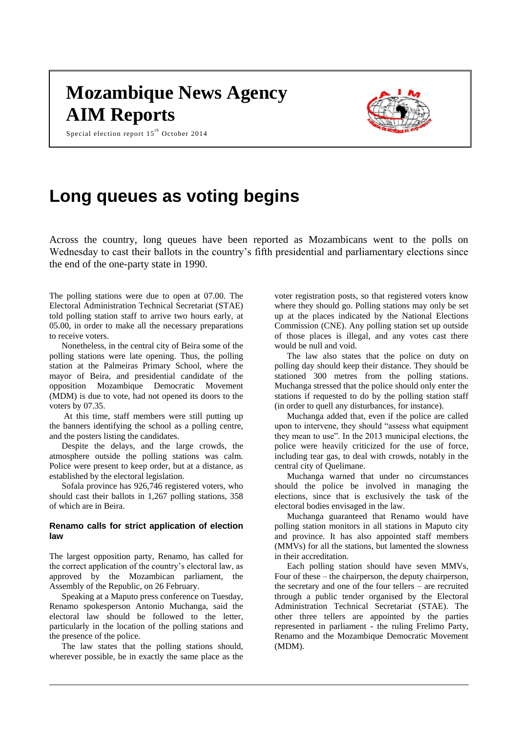# **Mozambique News Agency AIM Reports**

Special election report  $15<sup>th</sup>$  October 2014



## **Long queues as voting begins**

Across the country, long queues have been reported as Mozambicans went to the polls on Wednesday to cast their ballots in the country's fifth presidential and parliamentary elections since the end of the one-party state in 1990.

The polling stations were due to open at 07.00. The Electoral Administration Technical Secretariat (STAE) told polling station staff to arrive two hours early, at 05.00, in order to make all the necessary preparations to receive voters.

Nonetheless, in the central city of Beira some of the polling stations were late opening. Thus, the polling station at the Palmeiras Primary School, where the mayor of Beira, and presidential candidate of the opposition Mozambique Democratic Movement (MDM) is due to vote, had not opened its doors to the voters by 07.35.

At this time, staff members were still putting up the banners identifying the school as a polling centre, and the posters listing the candidates.

Despite the delays, and the large crowds, the atmosphere outside the polling stations was calm. Police were present to keep order, but at a distance, as established by the electoral legislation.

Sofala province has 926,746 registered voters, who should cast their ballots in 1,267 polling stations, 358 of which are in Beira.

#### **Renamo calls for strict application of election law**

The largest opposition party, Renamo, has called for the correct application of the country's electoral law, as approved by the Mozambican parliament, the Assembly of the Republic, on 26 February.

Speaking at a Maputo press conference on Tuesday, Renamo spokesperson Antonio Muchanga, said the electoral law should be followed to the letter, particularly in the location of the polling stations and the presence of the police.

The law states that the polling stations should, wherever possible, be in exactly the same place as the

voter registration posts, so that registered voters know where they should go. Polling stations may only be set up at the places indicated by the National Elections Commission (CNE). Any polling station set up outside of those places is illegal, and any votes cast there would be null and void.

The law also states that the police on duty on polling day should keep their distance. They should be stationed 300 metres from the polling stations. Muchanga stressed that the police should only enter the stations if requested to do by the polling station staff (in order to quell any disturbances, for instance).

Muchanga added that, even if the police are called upon to intervene, they should "assess what equipment they mean to use". In the 2013 municipal elections, the police were heavily criticized for the use of force, including tear gas, to deal with crowds, notably in the central city of Quelimane.

Muchanga warned that under no circumstances should the police be involved in managing the elections, since that is exclusively the task of the electoral bodies envisaged in the law.

Muchanga guaranteed that Renamo would have polling station monitors in all stations in Maputo city and province. It has also appointed staff members (MMVs) for all the stations, but lamented the slowness in their accreditation.

Each polling station should have seven MMVs, Four of these – the chairperson, the deputy chairperson, the secretary and one of the four tellers – are recruited through a public tender organised by the Electoral Administration Technical Secretariat (STAE). The other three tellers are appointed by the parties represented in parliament - the ruling Frelimo Party, Renamo and the Mozambique Democratic Movement (MDM).